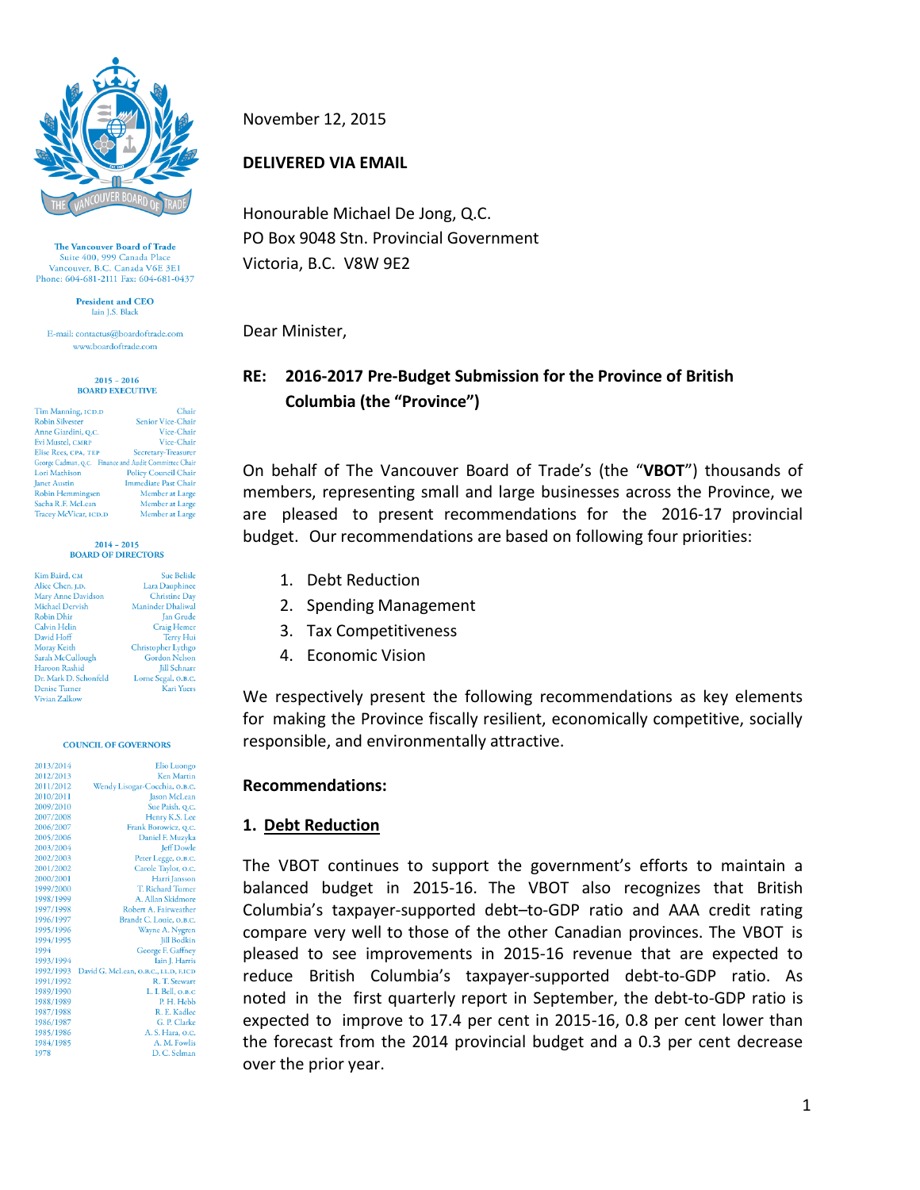

The Vancouver Board of Trade Suite 400, 999 Canada Plac Vancouver, B.C. Canada V6E 3E1 Phone: 604-681-2111 Fax: 604-681-0437

> President and CEO Jain LS. Black

E-mail: contactus@boardoftrade.com www.boardoftrade.com

#### $2015 - 2016$ **BOARD EXECUTIVE**

| Tim Manning, ICD.D                                    | Chair                       |
|-------------------------------------------------------|-----------------------------|
| <b>Robin Silvester</b>                                | <b>Senior Vice-Chair</b>    |
| Anne Giardini, Q.C.                                   | Vice-Chair                  |
| Evi Mustel, CMRP                                      | Vice-Chair                  |
| Elise Rees, CPA, TEP                                  | Secretary-Treasurer         |
| George Cadman, Q.C. Finance and Audit Committee Chair |                             |
| Lori Mathison                                         | <b>Policy Council Chair</b> |
| <b>Janet Austin</b>                                   | <b>Immediate Past Chair</b> |
| Robin Hemmingsen                                      | Member at Large             |
| Sacha R.F. McLean                                     | Member at Large             |
| Tracey McVicar, ICD.D                                 | Member at Large             |

#### $2014 - 2015$ **BOARD OF DIRECTORS**

| Kim Baird, CM          | <b>Sue Belisle</b>       |
|------------------------|--------------------------|
| Alice Chen. I.D.       | <b>Lara Dauphinee</b>    |
| Mary Anne Davidson     | <b>Christine Day</b>     |
| <b>Michael Dervish</b> | <b>Maninder Dhaliwal</b> |
| <b>Robin Dhir</b>      | Jan Grude                |
| <b>Calvin Helin</b>    | <b>Craig Hemer</b>       |
| David Hoff             | <b>Terry Hui</b>         |
| Moray Keith            | Christopher Lythgo       |
| Sarah McCullough       | <b>Gordon Nelson</b>     |
| Haroon Rashid          | <b>Jill Schnarr</b>      |
| Dr. Mark D. Schonfeld  | Lorne Segal, O.B.C.      |
| <b>Denise Turner</b>   | <b>Kari Yuers</b>        |
| <b>Maden Zellenn</b>   |                          |

#### **COUNCIL OF GOVERNORS**

| 2013/2014 | <b>Elio Luongo</b>                   |
|-----------|--------------------------------------|
| 2012/2013 | Ken Marrin                           |
| 2011/2012 | Wendy Lisogar-Cocchia, O.B.C.        |
| 2010/2011 | <b>Jason McLean</b>                  |
| 2009/2010 | Sue Paish, Q.C.                      |
| 2007/2008 | Henry K.S. Lee                       |
| 2006/2007 | Frank Borowicz, Q.C.                 |
| 2005/2006 | Daniel F. Muzyka                     |
| 2003/2004 | <b>Jeff Dowle</b>                    |
| 2002/2003 | Peter Legge, O.B.C.                  |
| 2001/2002 | Carole Taylor, o.c.                  |
| 2000/2001 | Harri Jansson                        |
| 1999/2000 | T. Richard Turner                    |
| 1998/1999 | A. Allan Skidmore                    |
| 1997/1998 | Robert A. Fairweather                |
| 1996/1997 | Brandt C. Louie, O.B.C.              |
| 1995/1996 | Wayne A. Nygren                      |
| 1994/1995 | <b>Jill Bodkin</b>                   |
| 1994      | George F. Gaffney                    |
| 1993/1994 | Iain J. Harris                       |
| 1992/1993 | David G. McLean, O.B.C., LL.D, F.ICD |
| 1991/1992 | R. T. Stewart                        |
| 1989/1990 | L. I. Bell, O.B.C                    |
| 1988/1989 | P. H. Hebb                           |
| 1987/1988 | R. E. Kadlec                         |
| 1986/1987 | G. P. Clarke                         |
| 1985/1986 | A. S. Hara, o.c.                     |
| 1984/1985 | A. M. Fowlis                         |
| 1978      | D. C. Selman                         |
|           |                                      |

November 12, 2015

### **DELIVERED VIA EMAIL**

Honourable Michael De Jong, Q.C. PO Box 9048 Stn. Provincial Government Victoria, B.C. V8W 9E2

Dear Minister,

# **RE: 2016-2017 Pre-Budget Submission for the Province of British Columbia (the "Province")**

On behalf of The Vancouver Board of Trade's (the "**VBOT**") thousands of members, representing small and large businesses across the Province, we are pleased to present recommendations for the 2016-17 provincial budget. Our recommendations are based on following four priorities:

- 1. Debt Reduction
- 2. Spending Management
- 3. Tax Competitiveness
- 4. Economic Vision

We respectively present the following recommendations as key elements for making the Province fiscally resilient, economically competitive, socially responsible, and environmentally attractive.

#### **Recommendations:**

## **1. Debt Reduction**

The VBOT continues to support the government's efforts to maintain a balanced budget in 2015-16. The VBOT also recognizes that British Columbia's taxpayer-supported debt–to-GDP ratio and AAA credit rating compare very well to those of the other Canadian provinces. The VBOT is pleased to see improvements in 2015-16 revenue that are expected to reduce British Columbia's taxpayer-supported debt-to-GDP ratio. As noted in the first quarterly report in September, the debt-to-GDP ratio is expected to improve to 17.4 per cent in 2015-16, 0.8 per cent lower than the forecast from the 2014 provincial budget and a 0.3 per cent decrease over the prior year.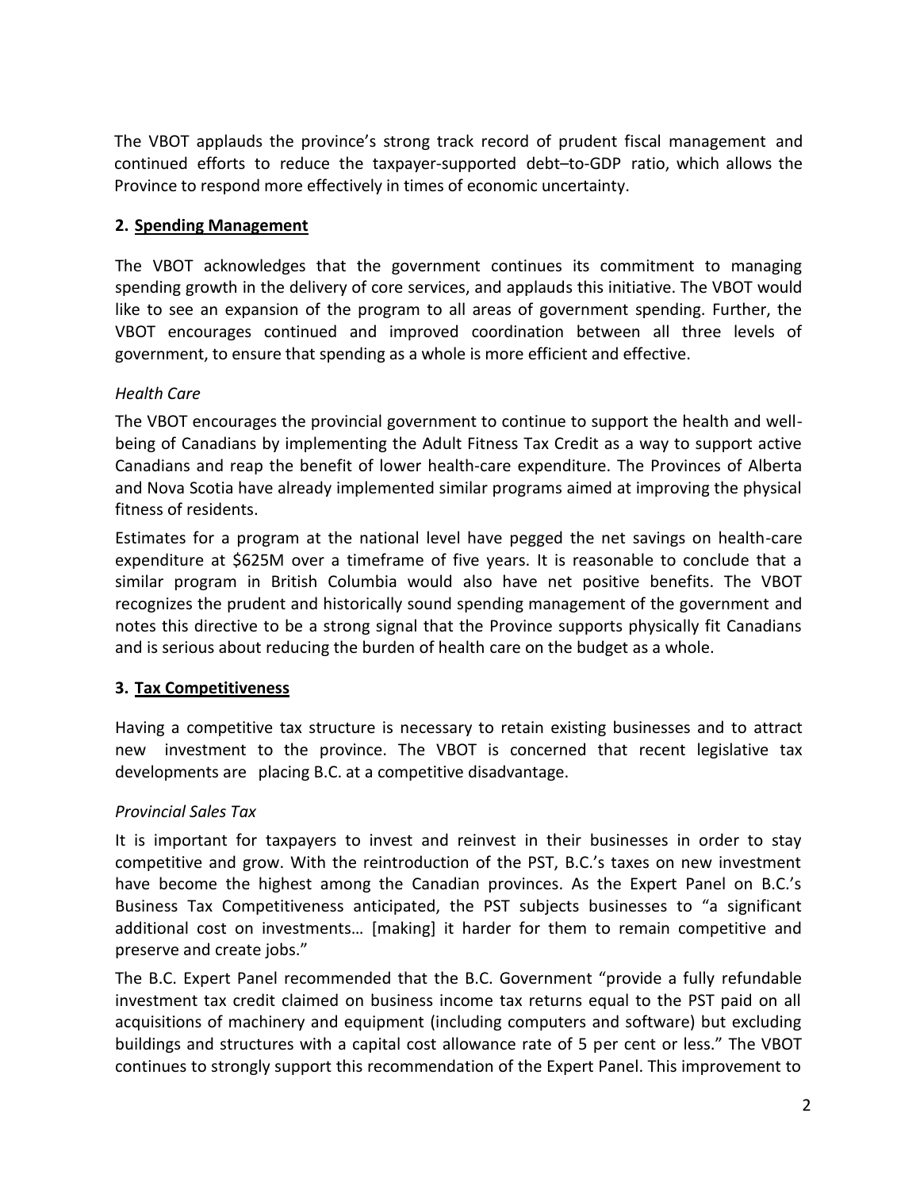The VBOT applauds the province's strong track record of prudent fiscal management and continued efforts to reduce the taxpayer-supported debt–to-GDP ratio, which allows the Province to respond more effectively in times of economic uncertainty.

#### **2. Spending Management**

The VBOT acknowledges that the government continues its commitment to managing spending growth in the delivery of core services, and applauds this initiative. The VBOT would like to see an expansion of the program to all areas of government spending. Further, the VBOT encourages continued and improved coordination between all three levels of government, to ensure that spending as a whole is more efficient and effective.

#### *Health Care*

The VBOT encourages the provincial government to continue to support the health and wellbeing of Canadians by implementing the Adult Fitness Tax Credit as a way to support active Canadians and reap the benefit of lower health-care expenditure. The Provinces of Alberta and Nova Scotia have already implemented similar programs aimed at improving the physical fitness of residents.

Estimates for a program at the national level have pegged the net savings on health-care expenditure at \$625M over a timeframe of five years. It is reasonable to conclude that a similar program in British Columbia would also have net positive benefits. The VBOT recognizes the prudent and historically sound spending management of the government and notes this directive to be a strong signal that the Province supports physically fit Canadians and is serious about reducing the burden of health care on the budget as a whole.

## **3. Tax Competitiveness**

Having a competitive tax structure is necessary to retain existing businesses and to attract new investment to the province. The VBOT is concerned that recent legislative tax developments are placing B.C. at a competitive disadvantage.

## *Provincial Sales Tax*

It is important for taxpayers to invest and reinvest in their businesses in order to stay competitive and grow. With the reintroduction of the PST, B.C.'s taxes on new investment have become the highest among the Canadian provinces. As the Expert Panel on B.C.'s Business Tax Competitiveness anticipated, the PST subjects businesses to "a significant additional cost on investments… [making] it harder for them to remain competitive and preserve and create jobs."

The B.C. Expert Panel recommended that the B.C. Government "provide a fully refundable investment tax credit claimed on business income tax returns equal to the PST paid on all acquisitions of machinery and equipment (including computers and software) but excluding buildings and structures with a capital cost allowance rate of 5 per cent or less." The VBOT continues to strongly support this recommendation of the Expert Panel. This improvement to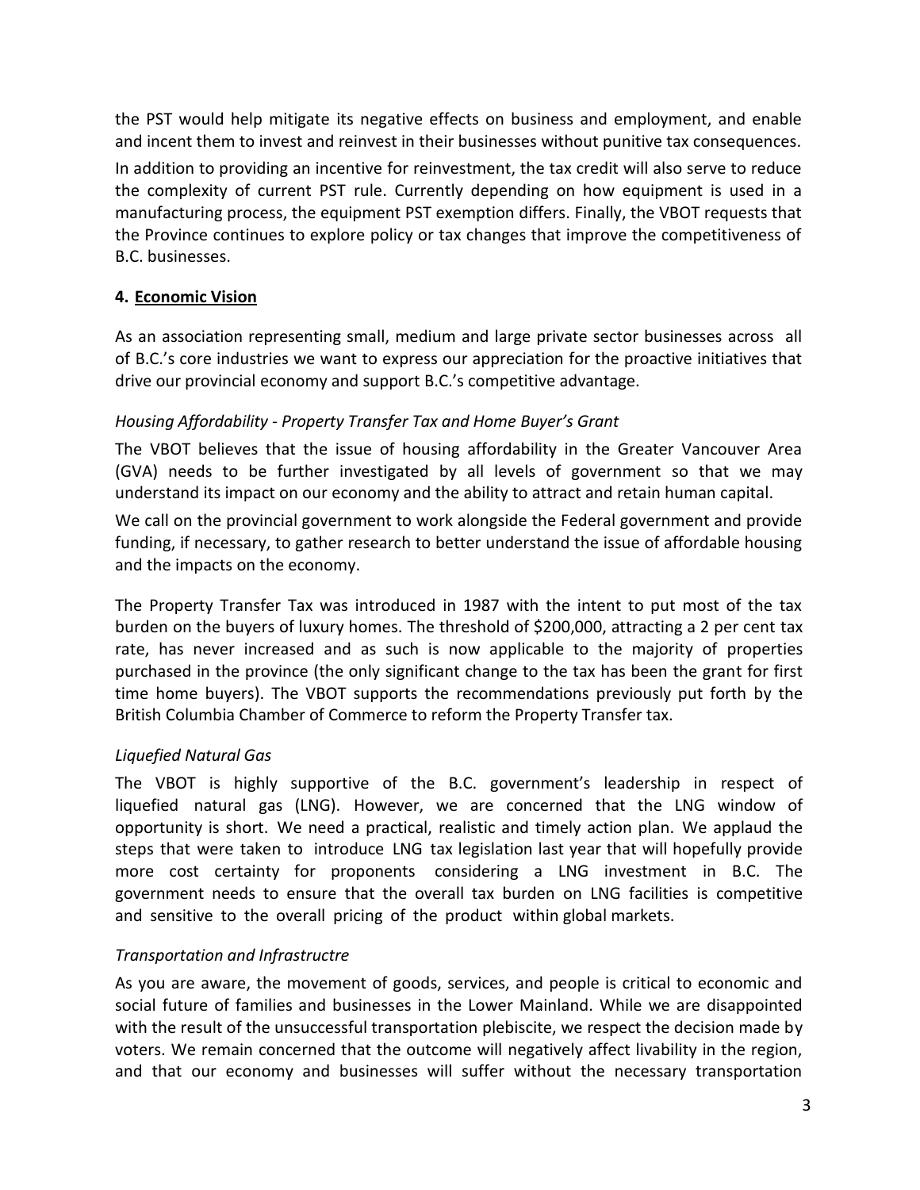the PST would help mitigate its negative effects on business and employment, and enable and incent them to invest and reinvest in their businesses without punitive tax consequences.

In addition to providing an incentive for reinvestment, the tax credit will also serve to reduce the complexity of current PST rule. Currently depending on how equipment is used in a manufacturing process, the equipment PST exemption differs. Finally, the VBOT requests that the Province continues to explore policy or tax changes that improve the competitiveness of B.C. businesses.

## **4. Economic Vision**

As an association representing small, medium and large private sector businesses across all of B.C.'s core industries we want to express our appreciation for the proactive initiatives that drive our provincial economy and support B.C.'s competitive advantage.

## *Housing Affordability - Property Transfer Tax and Home Buyer's Grant*

The VBOT believes that the issue of housing affordability in the Greater Vancouver Area (GVA) needs to be further investigated by all levels of government so that we may understand its impact on our economy and the ability to attract and retain human capital.

We call on the provincial government to work alongside the Federal government and provide funding, if necessary, to gather research to better understand the issue of affordable housing and the impacts on the economy.

The Property Transfer Tax was introduced in 1987 with the intent to put most of the tax burden on the buyers of luxury homes. The threshold of \$200,000, attracting a 2 per cent tax rate, has never increased and as such is now applicable to the majority of properties purchased in the province (the only significant change to the tax has been the grant for first time home buyers). The VBOT supports the recommendations previously put forth by the British Columbia Chamber of Commerce to reform the Property Transfer tax.

# *Liquefied Natural Gas*

The VBOT is highly supportive of the B.C. government's leadership in respect of liquefied natural gas (LNG). However, we are concerned that the LNG window of opportunity is short. We need a practical, realistic and timely action plan. We applaud the steps that were taken to introduce LNG tax legislation last year that will hopefully provide more cost certainty for proponents considering a LNG investment in B.C. The government needs to ensure that the overall tax burden on LNG facilities is competitive and sensitive to the overall pricing of the product within global markets.

## *Transportation and Infrastructre*

As you are aware, the movement of goods, services, and people is critical to economic and social future of families and businesses in the Lower Mainland. While we are disappointed with the result of the unsuccessful transportation plebiscite, we respect the decision made by voters. We remain concerned that the outcome will negatively affect livability in the region, and that our economy and businesses will suffer without the necessary transportation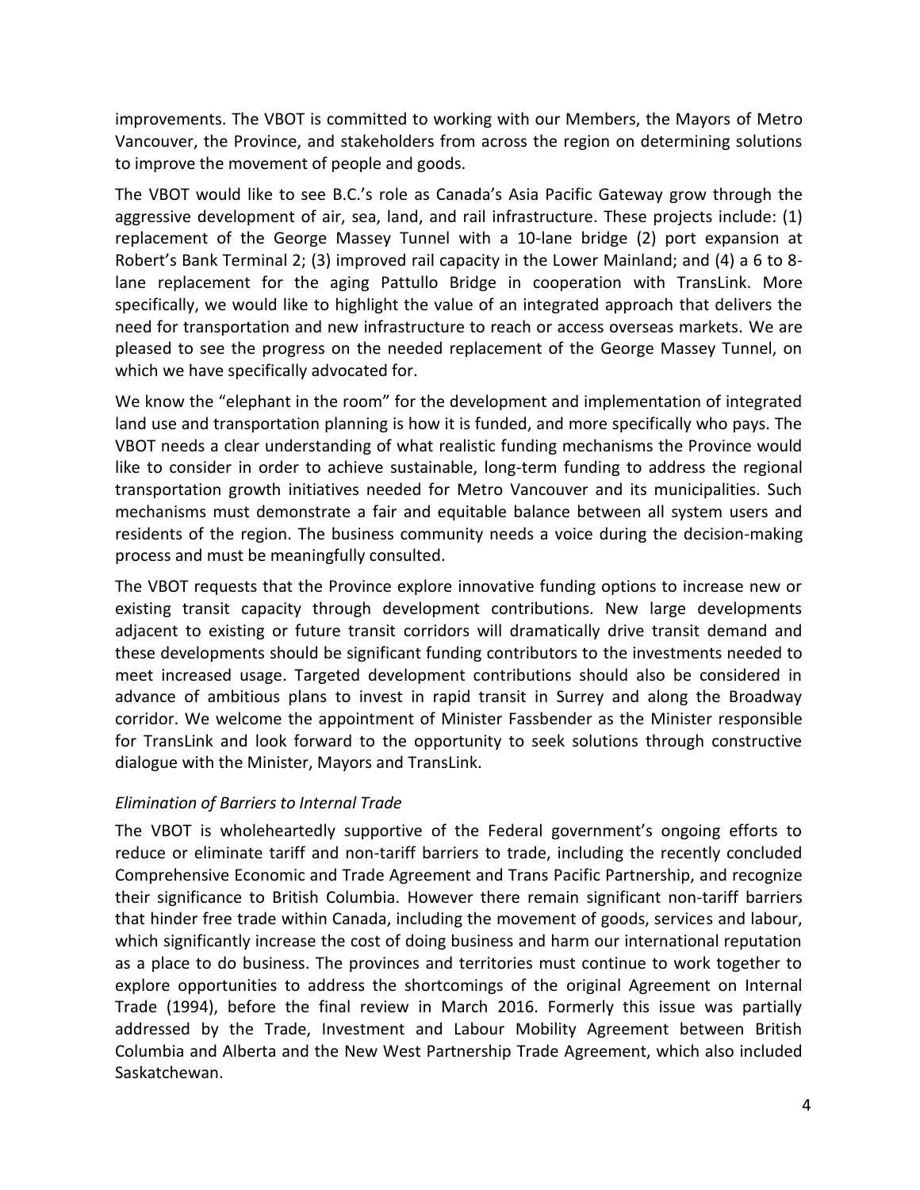improvements. The VBOT is committed to working with our Members, the Mayors of Metro Vancouver, the Province, and stakeholders from across the region on determining solutions to improve the movement of people and goods.

The VBOT would like to see B.C.'s role as Canada's Asia Pacific Gateway grow through the aggressive development of air, sea, land, and rail infrastructure. These projects include: (1) replacement of the George Massey Tunnel with a 10-lane bridge (2) port expansion at Robert's Bank Terminal 2; (3) improved rail capacity in the Lower Mainland; and (4) a 6 to 8 lane replacement for the aging Pattullo Bridge in cooperation with TransLink. More specifically, we would like to highlight the value of an integrated approach that delivers the need for transportation and new infrastructure to reach or access overseas markets. We are pleased to see the progress on the needed replacement of the George Massey Tunnel, on which we have specifically advocated for.

We know the "elephant in the room" for the development and implementation of integrated land use and transportation planning is how it is funded, and more specifically who pays. The VBOT needs a clear understanding of what realistic funding mechanisms the Province would like to consider in order to achieve sustainable, long-term funding to address the regional transportation growth initiatives needed for Metro Vancouver and its municipalities. Such mechanisms must demonstrate a fair and equitable balance between all system users and residents of the region. The business community needs a voice during the decision-making process and must be meaningfully consulted.

The VBOT requests that the Province explore innovative funding options to increase new or existing transit capacity through development contributions. New large developments adjacent to existing or future transit corridors will dramatically drive transit demand and these developments should be significant funding contributors to the investments needed to meet increased usage. Targeted development contributions should also be considered in advance of ambitious plans to invest in rapid transit in Surrey and along the Broadway corridor. We welcome the appointment of Minister Fassbender as the Minister responsible for TransLink and look forward to the opportunity to seek solutions through constructive dialogue with the Minister, Mayors and TransLink.

#### *Elimination of Barriers to Internal Trade*

The VBOT is wholeheartedly supportive of the Federal government's ongoing efforts to reduce or eliminate tariff and non-tariff barriers to trade, including the recently concluded Comprehensive Economic and Trade Agreement and Trans Pacific Partnership, and recognize their significance to British Columbia. However there remain significant non-tariff barriers that hinder free trade within Canada, including the movement of goods, services and labour, which significantly increase the cost of doing business and harm our international reputation as a place to do business. The provinces and territories must continue to work together to explore opportunities to address the shortcomings of the original Agreement on Internal Trade (1994), before the final review in March 2016. Formerly this issue was partially addressed by the Trade, Investment and Labour Mobility Agreement between British Columbia and Alberta and the New West Partnership Trade Agreement, which also included Saskatchewan.